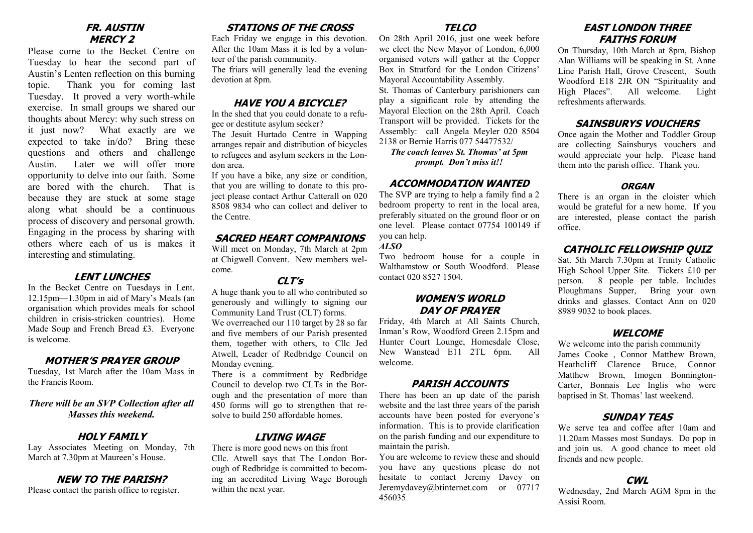#### **FR. AUSTIN MERCY 2**

Please come to the Becket Centre on Tuesday to hear the second part of Austin's Lenten reflection on this burning topic. Thank you for coming last Tuesday. It proved a very worth-while exercise. In small groups we shared our thoughts about Mercy: why such stress on it just now? What exactly are we expected to take in/do? Bring these questions and others and challenge Austin. Later we will offer more opportunity to delve into our faith. Some are bored with the church. That is because they are stuck at some stage along what should be a continuous process of discovery and personal growth. Engaging in the process by sharing with others where each of us is makes it interesting and stimulating.

#### **LENT LUNCHES**

In the Becket Centre on Tuesdays in Lent. 12.15pm—1.30pm in aid of Mary's Meals (an organisation which provides meals for school children in crisis-stricken countries). Home Made Soup and French Bread £3. Everyone is welcome.

#### **MOTHER'S PRAYER GROUP**

Tuesday, 1st March after the 10am Mass in the Francis Room.

*There will be an SVP Collection after all Masses this weekend.*

## **HOLY FAMILY**

Lay Associates Meeting on Monday, 7th March at 7.30pm at Maureen's House.

## **NEW TO THE PARISH?**

Please contact the parish office to register.

# **STATIONS OF THE CROSS**

Each Friday we engage in this devotion. After the 10am Mass it is led by a volunteer of the parish community.

The friars will generally lead the evening devotion at 8pm

## **HAVE YOU A BICYCLE?**

In the shed that you could donate to a refugee or destitute asylum seeker?

The Jesuit Hurtado Centre in Wapping arranges repair and distribution of bicycles to refugees and asylum seekers in the London area.

If you have a bike, any size or condition, that you are willing to donate to this project please contact Arthur Catterall on 020 8508 9834 who can collect and deliver to the Centre.

#### **SACRED HEART COMPANIONS**

Will meet on Monday, 7th March at 2pm at Chigwell Convent. New members welcome.

#### **CLT's**

A huge thank you to all who contributed so generously and willingly to signing our Community Land Trust (CLT) forms. We overreached our 110 target by 28 so far

and five members of our Parish presented them, together with others, to Cllc Jed Atwell, Leader of Redbridge Council on Monday evening.

There is a commitment by Redbridge Council to develop two CLTs in the Borough and the presentation of more than 450 forms will go to strengthen that resolve to build 250 affordable homes.

# **LIVING WAGE**

There is more good news on this front Cllc. Atwell says that The London Borough of Redbridge is committed to becoming an accredited Living Wage Borough within the next year.

#### **TELCO**

On 28th April 2016, just one week before we elect the New Mayor of London, 6,000 organised voters will gather at the Copper Box in Stratford for the London Citizens' Mayoral Accountability Assembly.

St. Thomas of Canterbury parishioners can play a significant role by attending the Mayoral Election on the 28th April. Coach Transport will be provided. Tickets for the Assembly: call Angela Meyler 020 8504 2138 or Bernie Harris 077 54477532/

*The coach leaves St. Thomas' at 5pm prompt. Don't miss it!!*

#### **ACCOMMODATION WANTED**

The SVP are trying to help a family find a 2 bedroom property to rent in the local area, preferably situated on the ground floor or on one level. Please contact 07754 100149 if you can help.

#### *ALSO*

Two bedroom house for a couple in Walthamstow or South Woodford. Please contact 020 8527 1504.

## **WOMEN'S WORLD DAY OF PRAYER**

Friday, 4th March at All Saints Church, Inman's Row, Woodford Green 2.15pm and Hunter Court Lounge, Homesdale Close, New Wanstead E11 2TL 6pm. All welcome.

#### **PARISH ACCOUNTS**

There has been an up date of the parish website and the last three years of the parish accounts have been posted for everyone's information. This is to provide clarification on the parish funding and our expenditure to maintain the parish.

You are welcome to review these and should you have any questions please do not hesitate to contact Jeremy Davey on Jeremydavey@btinternet.com or 07717 456035

# **EAST LONDON THREE FAITHS FORUM**

On Thursday, 10th March at 8pm, Bishop Alan Williams will be speaking in St. Anne Line Parish Hall, Grove Crescent, South Woodford E18 2JR ON "Spirituality and High Places". All welcome. Light refreshments afterwards.

## **SAINSBURYS VOUCHERS**

Once again the Mother and Toddler Group are collecting Sainsburys vouchers and would appreciate your help. Please hand them into the parish office. Thank you.

#### **ORGAN**

There is an organ in the cloister which would be grateful for a new home. If you are interested, please contact the parish office.

## **CATHOLIC FELLOWSHIP QUIZ**

Sat. 5th March 7.30pm at Trinity Catholic High School Upper Site. Tickets £10 per person. 8 people per table. Includes Ploughmans Supper, Bring your own drinks and glasses. Contact Ann on 020 8989 9032 to book places.

#### **WELCOME**

We welcome into the parish community James Cooke , Connor Matthew Brown, Heathcliff Clarence Bruce, Connor Matthew Brown, Imogen Bonnington-Carter, Bonnais Lee Inglis who were baptised in St. Thomas' last weekend.

#### **SUNDAY TEAS**

We serve tea and coffee after 10am and 11.20am Masses most Sundays. Do pop in and join us. A good chance to meet old friends and new people.

## **CWL**

Wednesday, 2nd March AGM 8pm in the Assisi Room.